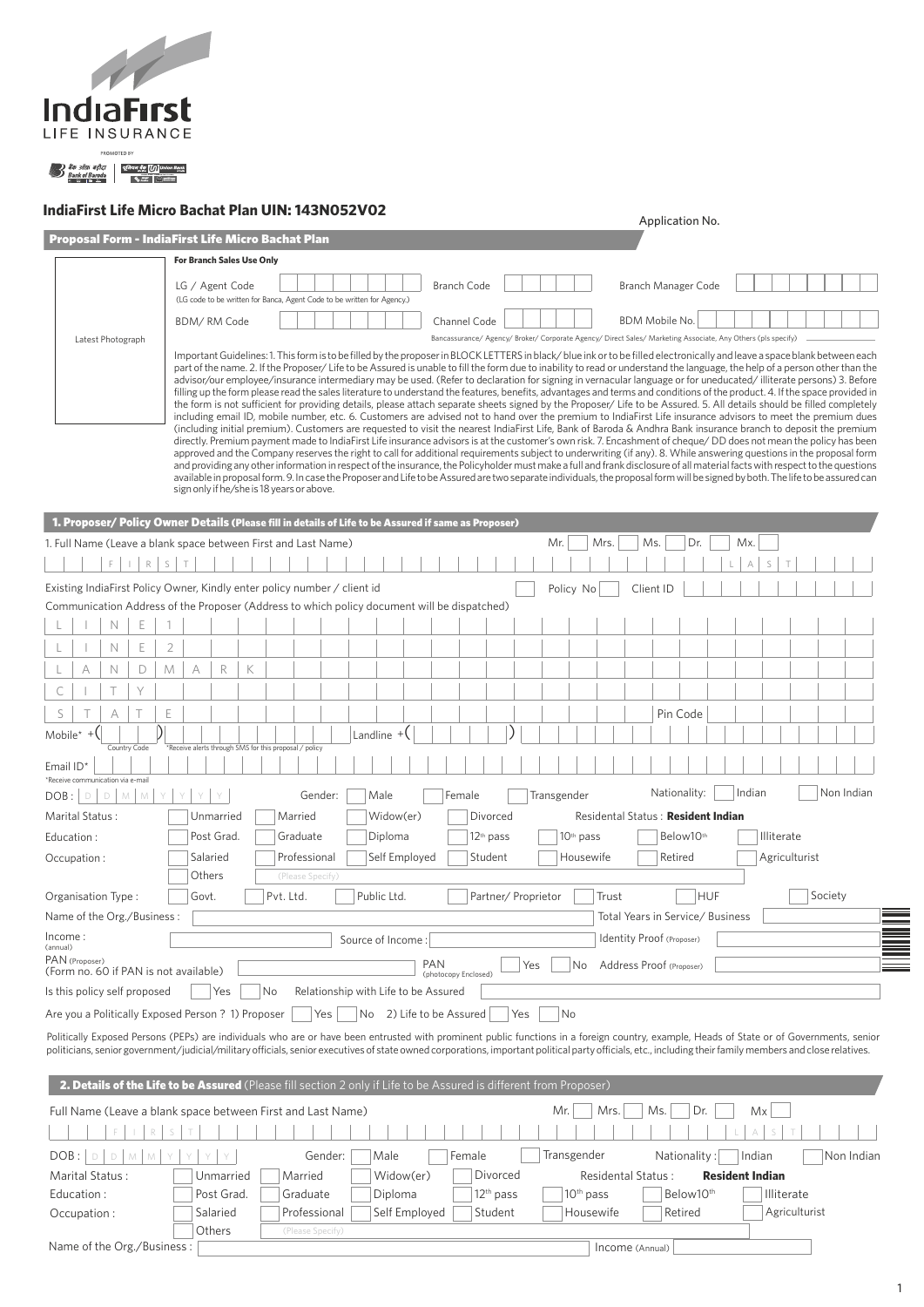

## **IndiaFirst Life Micro Bachat Plan UIN: 143N052V02**

| ingiarirst Life Micro Bachat Pian UIN: 145NU5ZVUZ                                                     | Application No.                                                                                                                                                                                                                                                                                                                                                                                                                                                                                                                                                                                                                                                                                                                                                                                                                                                                                                                                                                                                                                                                                                                                                                                                                                                                                                                                                                                                                                                                                                                                                                                                                                                                                                                                                                                                                                                                                                                     |
|-------------------------------------------------------------------------------------------------------|-------------------------------------------------------------------------------------------------------------------------------------------------------------------------------------------------------------------------------------------------------------------------------------------------------------------------------------------------------------------------------------------------------------------------------------------------------------------------------------------------------------------------------------------------------------------------------------------------------------------------------------------------------------------------------------------------------------------------------------------------------------------------------------------------------------------------------------------------------------------------------------------------------------------------------------------------------------------------------------------------------------------------------------------------------------------------------------------------------------------------------------------------------------------------------------------------------------------------------------------------------------------------------------------------------------------------------------------------------------------------------------------------------------------------------------------------------------------------------------------------------------------------------------------------------------------------------------------------------------------------------------------------------------------------------------------------------------------------------------------------------------------------------------------------------------------------------------------------------------------------------------------------------------------------------------|
| <b>Proposal Form - IndiaFirst Life Micro Bachat Plan</b>                                              |                                                                                                                                                                                                                                                                                                                                                                                                                                                                                                                                                                                                                                                                                                                                                                                                                                                                                                                                                                                                                                                                                                                                                                                                                                                                                                                                                                                                                                                                                                                                                                                                                                                                                                                                                                                                                                                                                                                                     |
| <b>For Branch Sales Use Only</b>                                                                      |                                                                                                                                                                                                                                                                                                                                                                                                                                                                                                                                                                                                                                                                                                                                                                                                                                                                                                                                                                                                                                                                                                                                                                                                                                                                                                                                                                                                                                                                                                                                                                                                                                                                                                                                                                                                                                                                                                                                     |
| LG / Agent Code<br>(LG code to be written for Banca, Agent Code to be written for Agency.)            | <b>Branch Code</b><br>Branch Manager Code                                                                                                                                                                                                                                                                                                                                                                                                                                                                                                                                                                                                                                                                                                                                                                                                                                                                                                                                                                                                                                                                                                                                                                                                                                                                                                                                                                                                                                                                                                                                                                                                                                                                                                                                                                                                                                                                                           |
| BDM/RM Code                                                                                           | <b>BDM Mobile No.</b><br>Channel Code<br>Bancassurance/ Agency/ Broker/ Corporate Agency/ Direct Sales/ Marketing Associate, Any Others (pls specify)                                                                                                                                                                                                                                                                                                                                                                                                                                                                                                                                                                                                                                                                                                                                                                                                                                                                                                                                                                                                                                                                                                                                                                                                                                                                                                                                                                                                                                                                                                                                                                                                                                                                                                                                                                               |
| Latest Photograph<br>sign only if he/she is 18 years or above.                                        | Important Guidelines: 1. This form is to be filled by the proposer in BLOCK LETTERS in black/blue ink or to be filled electronically and leave a space blank between each<br>part of the name. 2. If the Proposer/Life to be Assured is unable to fill the form due to inability to read or understand the language, the help of a person other than the<br>advisor/our employee/insurance intermediary may be used. (Refer to declaration for signing in vernacular language or for uneducated/illiterate persons) 3. Before<br>filling up the form please read the sales literature to understand the features, benefits, advantages and terms and conditions of the product. 4. If the space provided in<br>the form is not sufficient for providing details, please attach separate sheets signed by the Proposer/ Life to be Assured. 5. All details should be filled completely<br>including email ID, mobile number, etc. 6. Customers are advised not to hand over the premium to IndiaFirst Life insurance advisors to meet the premium dues<br>(including initial premium). Customers are requested to visit the nearest IndiaFirst Life, Bank of Baroda & Andhra Bank insurance branch to deposit the premium<br>directly. Premium payment made to IndiaFirst Life insurance advisors is at the customer's own risk. 7. Encashment of cheque/DD does not mean the policy has been<br>approved and the Company reserves the right to call for additional requirements subject to underwriting (if any). 8. While answering questions in the proposal form<br>and providing any other information in respect of the insurance, the Policyholder must make a full and frank disclosure of all material facts with respect to the questions<br>available in proposal form. 9. In case the Proposer and Life to be Assured are two separate individuals, the proposal form will be signed by both. The life to be assured can |
| 1. Proposer/ Policy Owner Details (Please fill in details of Life to be Assured if same as Proposer)  |                                                                                                                                                                                                                                                                                                                                                                                                                                                                                                                                                                                                                                                                                                                                                                                                                                                                                                                                                                                                                                                                                                                                                                                                                                                                                                                                                                                                                                                                                                                                                                                                                                                                                                                                                                                                                                                                                                                                     |
| 1. Full Name (Leave a blank space between First and Last Name)                                        | Mr.<br>Mrs.<br>Dr.<br>Mx.<br>Ms.                                                                                                                                                                                                                                                                                                                                                                                                                                                                                                                                                                                                                                                                                                                                                                                                                                                                                                                                                                                                                                                                                                                                                                                                                                                                                                                                                                                                                                                                                                                                                                                                                                                                                                                                                                                                                                                                                                    |
| R<br>S<br>T                                                                                           | А                                                                                                                                                                                                                                                                                                                                                                                                                                                                                                                                                                                                                                                                                                                                                                                                                                                                                                                                                                                                                                                                                                                                                                                                                                                                                                                                                                                                                                                                                                                                                                                                                                                                                                                                                                                                                                                                                                                                   |
| Existing IndiaFirst Policy Owner, Kindly enter policy number / client id                              | Policy No<br>Client ID                                                                                                                                                                                                                                                                                                                                                                                                                                                                                                                                                                                                                                                                                                                                                                                                                                                                                                                                                                                                                                                                                                                                                                                                                                                                                                                                                                                                                                                                                                                                                                                                                                                                                                                                                                                                                                                                                                              |
| Communication Address of the Proposer (Address to which policy document will be dispatched)           |                                                                                                                                                                                                                                                                                                                                                                                                                                                                                                                                                                                                                                                                                                                                                                                                                                                                                                                                                                                                                                                                                                                                                                                                                                                                                                                                                                                                                                                                                                                                                                                                                                                                                                                                                                                                                                                                                                                                     |
| Ε<br>N                                                                                                |                                                                                                                                                                                                                                                                                                                                                                                                                                                                                                                                                                                                                                                                                                                                                                                                                                                                                                                                                                                                                                                                                                                                                                                                                                                                                                                                                                                                                                                                                                                                                                                                                                                                                                                                                                                                                                                                                                                                     |
| $\overline{2}$<br>Е<br>N                                                                              |                                                                                                                                                                                                                                                                                                                                                                                                                                                                                                                                                                                                                                                                                                                                                                                                                                                                                                                                                                                                                                                                                                                                                                                                                                                                                                                                                                                                                                                                                                                                                                                                                                                                                                                                                                                                                                                                                                                                     |
| R<br>D<br>A<br>K<br>A<br>N<br>M                                                                       |                                                                                                                                                                                                                                                                                                                                                                                                                                                                                                                                                                                                                                                                                                                                                                                                                                                                                                                                                                                                                                                                                                                                                                                                                                                                                                                                                                                                                                                                                                                                                                                                                                                                                                                                                                                                                                                                                                                                     |
| Y<br>С                                                                                                |                                                                                                                                                                                                                                                                                                                                                                                                                                                                                                                                                                                                                                                                                                                                                                                                                                                                                                                                                                                                                                                                                                                                                                                                                                                                                                                                                                                                                                                                                                                                                                                                                                                                                                                                                                                                                                                                                                                                     |
| S<br>Ε<br>А                                                                                           | Pin Code                                                                                                                                                                                                                                                                                                                                                                                                                                                                                                                                                                                                                                                                                                                                                                                                                                                                                                                                                                                                                                                                                                                                                                                                                                                                                                                                                                                                                                                                                                                                                                                                                                                                                                                                                                                                                                                                                                                            |
| Mobile <sup>*</sup> $+$ $($<br>Country Code<br>*Receive alerts through SMS for this proposal / policy | Landline $+($                                                                                                                                                                                                                                                                                                                                                                                                                                                                                                                                                                                                                                                                                                                                                                                                                                                                                                                                                                                                                                                                                                                                                                                                                                                                                                                                                                                                                                                                                                                                                                                                                                                                                                                                                                                                                                                                                                                       |
| Email $ID^*$                                                                                          |                                                                                                                                                                                                                                                                                                                                                                                                                                                                                                                                                                                                                                                                                                                                                                                                                                                                                                                                                                                                                                                                                                                                                                                                                                                                                                                                                                                                                                                                                                                                                                                                                                                                                                                                                                                                                                                                                                                                     |
| *Receive communication via e-mail<br>D<br>$M$ $M$<br>Y<br>Gender:<br>DOB:<br>$\mathbb D$              | Indian<br>Non Indian<br>Nationality:<br>Male<br>Female<br>Transgender                                                                                                                                                                                                                                                                                                                                                                                                                                                                                                                                                                                                                                                                                                                                                                                                                                                                                                                                                                                                                                                                                                                                                                                                                                                                                                                                                                                                                                                                                                                                                                                                                                                                                                                                                                                                                                                               |
| Unmarried<br>Marital Status:<br>Married                                                               | Residental Status: Resident Indian<br>Widow(er)<br>Divorced                                                                                                                                                                                                                                                                                                                                                                                                                                                                                                                                                                                                                                                                                                                                                                                                                                                                                                                                                                                                                                                                                                                                                                                                                                                                                                                                                                                                                                                                                                                                                                                                                                                                                                                                                                                                                                                                         |
| Education:<br>Post Grad.<br>Graduate                                                                  | Diploma<br>12 <sup>th</sup> pass<br>10 <sup>th</sup> pass<br>Below10th<br>Illiterate                                                                                                                                                                                                                                                                                                                                                                                                                                                                                                                                                                                                                                                                                                                                                                                                                                                                                                                                                                                                                                                                                                                                                                                                                                                                                                                                                                                                                                                                                                                                                                                                                                                                                                                                                                                                                                                |
| Occupation:<br>Salaried<br>Professional                                                               | Self Employed<br>Student<br>Agriculturist<br>Housewife<br>Retired                                                                                                                                                                                                                                                                                                                                                                                                                                                                                                                                                                                                                                                                                                                                                                                                                                                                                                                                                                                                                                                                                                                                                                                                                                                                                                                                                                                                                                                                                                                                                                                                                                                                                                                                                                                                                                                                   |
| Others<br>(Please Specify)                                                                            |                                                                                                                                                                                                                                                                                                                                                                                                                                                                                                                                                                                                                                                                                                                                                                                                                                                                                                                                                                                                                                                                                                                                                                                                                                                                                                                                                                                                                                                                                                                                                                                                                                                                                                                                                                                                                                                                                                                                     |
| Pvt. Ltd.<br>Organisation Type:<br>Govt.                                                              | <b>HUF</b><br>Public Ltd.<br>Partner/ Proprietor<br>Trust<br>Society                                                                                                                                                                                                                                                                                                                                                                                                                                                                                                                                                                                                                                                                                                                                                                                                                                                                                                                                                                                                                                                                                                                                                                                                                                                                                                                                                                                                                                                                                                                                                                                                                                                                                                                                                                                                                                                                |
| Name of the Org./Business:                                                                            | Total Years in Service/ Business                                                                                                                                                                                                                                                                                                                                                                                                                                                                                                                                                                                                                                                                                                                                                                                                                                                                                                                                                                                                                                                                                                                                                                                                                                                                                                                                                                                                                                                                                                                                                                                                                                                                                                                                                                                                                                                                                                    |
| Income:<br>(annual)                                                                                   | Identity Proof (Proposer)<br>Source of Income:                                                                                                                                                                                                                                                                                                                                                                                                                                                                                                                                                                                                                                                                                                                                                                                                                                                                                                                                                                                                                                                                                                                                                                                                                                                                                                                                                                                                                                                                                                                                                                                                                                                                                                                                                                                                                                                                                      |
| PAN (Proposer)<br>(Form no. 60 if PAN is not available)                                               | <b>PAN</b><br>Address Proof (Proposer)<br>Yes<br>No<br>(photocopy Enclosed)                                                                                                                                                                                                                                                                                                                                                                                                                                                                                                                                                                                                                                                                                                                                                                                                                                                                                                                                                                                                                                                                                                                                                                                                                                                                                                                                                                                                                                                                                                                                                                                                                                                                                                                                                                                                                                                         |
| Is this policy self proposed<br>Yes<br>No                                                             | Relationship with Life to be Assured                                                                                                                                                                                                                                                                                                                                                                                                                                                                                                                                                                                                                                                                                                                                                                                                                                                                                                                                                                                                                                                                                                                                                                                                                                                                                                                                                                                                                                                                                                                                                                                                                                                                                                                                                                                                                                                                                                |
| Are you a Politically Exposed Person ? 1) Proposer<br>Yes                                             | No<br>No 2) Life to be Assured<br>Yes                                                                                                                                                                                                                                                                                                                                                                                                                                                                                                                                                                                                                                                                                                                                                                                                                                                                                                                                                                                                                                                                                                                                                                                                                                                                                                                                                                                                                                                                                                                                                                                                                                                                                                                                                                                                                                                                                               |
|                                                                                                       | Politically Exposed Persons (PEPs) are individuals who are or have been entrusted with prominent public functions in a foreign country, example, Heads of State or of Governments, senior<br>politicians, senior government/judicial/military officials, senior executives of state owned corporations, important political party officials, etc., including their family members and close relatives.                                                                                                                                                                                                                                                                                                                                                                                                                                                                                                                                                                                                                                                                                                                                                                                                                                                                                                                                                                                                                                                                                                                                                                                                                                                                                                                                                                                                                                                                                                                              |
|                                                                                                       | 2. Details of the Life to be Assured (Please fill section 2 only if Life to be Assured is different from Proposer)                                                                                                                                                                                                                                                                                                                                                                                                                                                                                                                                                                                                                                                                                                                                                                                                                                                                                                                                                                                                                                                                                                                                                                                                                                                                                                                                                                                                                                                                                                                                                                                                                                                                                                                                                                                                                  |
| Full Name (Leave a blank space between First and Last Name)                                           | Mr.<br>Dr.<br>Mrs.<br>Ms.                                                                                                                                                                                                                                                                                                                                                                                                                                                                                                                                                                                                                                                                                                                                                                                                                                                                                                                                                                                                                                                                                                                                                                                                                                                                                                                                                                                                                                                                                                                                                                                                                                                                                                                                                                                                                                                                                                           |
|                                                                                                       | Mx                                                                                                                                                                                                                                                                                                                                                                                                                                                                                                                                                                                                                                                                                                                                                                                                                                                                                                                                                                                                                                                                                                                                                                                                                                                                                                                                                                                                                                                                                                                                                                                                                                                                                                                                                                                                                                                                                                                                  |
| DOB:<br>M.<br>M<br>Gender:<br>D                                                                       | Transgender<br>Male<br>Female<br>Nationality:<br>Indian<br>Non Indian                                                                                                                                                                                                                                                                                                                                                                                                                                                                                                                                                                                                                                                                                                                                                                                                                                                                                                                                                                                                                                                                                                                                                                                                                                                                                                                                                                                                                                                                                                                                                                                                                                                                                                                                                                                                                                                               |
| Marital Status:<br>Unmarried<br>Married                                                               | <b>Resident Indian</b><br>Widow(er)<br>Residental Status:<br>Divorced                                                                                                                                                                                                                                                                                                                                                                                                                                                                                                                                                                                                                                                                                                                                                                                                                                                                                                                                                                                                                                                                                                                                                                                                                                                                                                                                                                                                                                                                                                                                                                                                                                                                                                                                                                                                                                                               |
| Post Grad.<br>Graduate<br>Education :                                                                 | 12 <sup>th</sup> pass<br>10 <sup>th</sup> pass<br>Below10 <sup>th</sup><br>Diploma<br>Illiterate                                                                                                                                                                                                                                                                                                                                                                                                                                                                                                                                                                                                                                                                                                                                                                                                                                                                                                                                                                                                                                                                                                                                                                                                                                                                                                                                                                                                                                                                                                                                                                                                                                                                                                                                                                                                                                    |
| Professional<br>Salaried<br>Occupation:                                                               | Agriculturist<br>Self Employed<br>Student<br>Housewife<br>Retired                                                                                                                                                                                                                                                                                                                                                                                                                                                                                                                                                                                                                                                                                                                                                                                                                                                                                                                                                                                                                                                                                                                                                                                                                                                                                                                                                                                                                                                                                                                                                                                                                                                                                                                                                                                                                                                                   |
| Others<br>(Please Specify)                                                                            |                                                                                                                                                                                                                                                                                                                                                                                                                                                                                                                                                                                                                                                                                                                                                                                                                                                                                                                                                                                                                                                                                                                                                                                                                                                                                                                                                                                                                                                                                                                                                                                                                                                                                                                                                                                                                                                                                                                                     |
| Name of the Org./Business:                                                                            | Income (Annual)                                                                                                                                                                                                                                                                                                                                                                                                                                                                                                                                                                                                                                                                                                                                                                                                                                                                                                                                                                                                                                                                                                                                                                                                                                                                                                                                                                                                                                                                                                                                                                                                                                                                                                                                                                                                                                                                                                                     |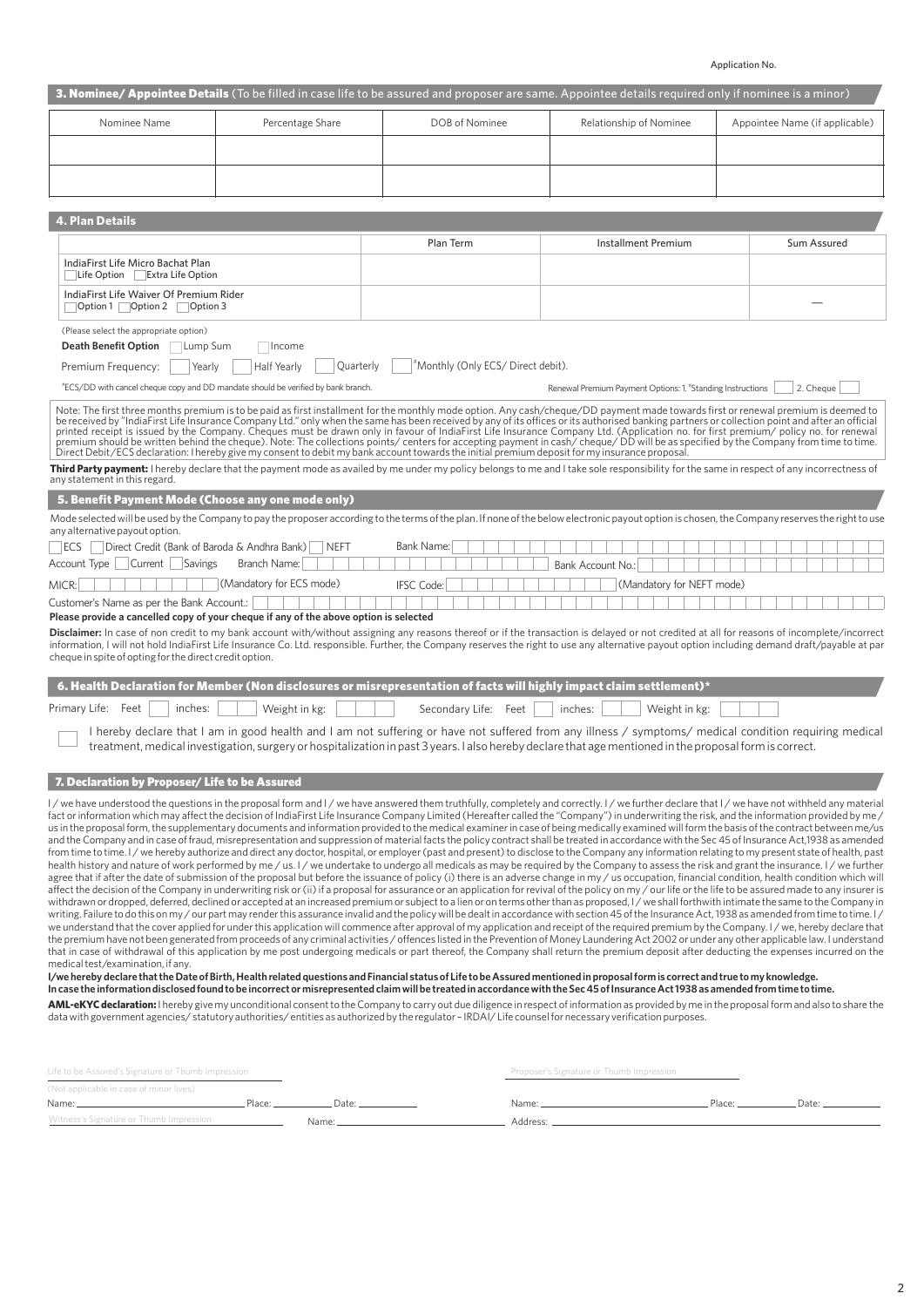Application No.

|                                                                                                                                                                                                                                                                                                                                                                                                                                                                                                                                                                                                                                                                                                                                                                                                                                                                                                                                                                                                                                                                                                                                                                                                                                                                                                                                                                                                                                                                                                                                                                                                                                                                                                                                                                                                                                                                                                                                                                                                                                                                                                                                                                                                                                                                                                                                                                                                                                                                                                                                                                                                                                                                                                                                                                                                                                                                                                                                                                                                                                                                                                                                                                                                                                                                                                                                                                                                   |                          |                                                                                                                                                                                                  |                                                            | 3. Nominee/ Appointee Details (To be filled in case life to be assured and proposer are same. Appointee details required only if nominee is a minor) |
|---------------------------------------------------------------------------------------------------------------------------------------------------------------------------------------------------------------------------------------------------------------------------------------------------------------------------------------------------------------------------------------------------------------------------------------------------------------------------------------------------------------------------------------------------------------------------------------------------------------------------------------------------------------------------------------------------------------------------------------------------------------------------------------------------------------------------------------------------------------------------------------------------------------------------------------------------------------------------------------------------------------------------------------------------------------------------------------------------------------------------------------------------------------------------------------------------------------------------------------------------------------------------------------------------------------------------------------------------------------------------------------------------------------------------------------------------------------------------------------------------------------------------------------------------------------------------------------------------------------------------------------------------------------------------------------------------------------------------------------------------------------------------------------------------------------------------------------------------------------------------------------------------------------------------------------------------------------------------------------------------------------------------------------------------------------------------------------------------------------------------------------------------------------------------------------------------------------------------------------------------------------------------------------------------------------------------------------------------------------------------------------------------------------------------------------------------------------------------------------------------------------------------------------------------------------------------------------------------------------------------------------------------------------------------------------------------------------------------------------------------------------------------------------------------------------------------------------------------------------------------------------------------------------------------------------------------------------------------------------------------------------------------------------------------------------------------------------------------------------------------------------------------------------------------------------------------------------------------------------------------------------------------------------------------------------------------------------------------------------------------------------------------|--------------------------|--------------------------------------------------------------------------------------------------------------------------------------------------------------------------------------------------|------------------------------------------------------------|------------------------------------------------------------------------------------------------------------------------------------------------------|
| Nominee Name                                                                                                                                                                                                                                                                                                                                                                                                                                                                                                                                                                                                                                                                                                                                                                                                                                                                                                                                                                                                                                                                                                                                                                                                                                                                                                                                                                                                                                                                                                                                                                                                                                                                                                                                                                                                                                                                                                                                                                                                                                                                                                                                                                                                                                                                                                                                                                                                                                                                                                                                                                                                                                                                                                                                                                                                                                                                                                                                                                                                                                                                                                                                                                                                                                                                                                                                                                                      | Percentage Share         | DOB of Nominee                                                                                                                                                                                   | Relationship of Nominee                                    | Appointee Name (if applicable)                                                                                                                       |
|                                                                                                                                                                                                                                                                                                                                                                                                                                                                                                                                                                                                                                                                                                                                                                                                                                                                                                                                                                                                                                                                                                                                                                                                                                                                                                                                                                                                                                                                                                                                                                                                                                                                                                                                                                                                                                                                                                                                                                                                                                                                                                                                                                                                                                                                                                                                                                                                                                                                                                                                                                                                                                                                                                                                                                                                                                                                                                                                                                                                                                                                                                                                                                                                                                                                                                                                                                                                   |                          |                                                                                                                                                                                                  |                                                            |                                                                                                                                                      |
|                                                                                                                                                                                                                                                                                                                                                                                                                                                                                                                                                                                                                                                                                                                                                                                                                                                                                                                                                                                                                                                                                                                                                                                                                                                                                                                                                                                                                                                                                                                                                                                                                                                                                                                                                                                                                                                                                                                                                                                                                                                                                                                                                                                                                                                                                                                                                                                                                                                                                                                                                                                                                                                                                                                                                                                                                                                                                                                                                                                                                                                                                                                                                                                                                                                                                                                                                                                                   |                          |                                                                                                                                                                                                  |                                                            |                                                                                                                                                      |
|                                                                                                                                                                                                                                                                                                                                                                                                                                                                                                                                                                                                                                                                                                                                                                                                                                                                                                                                                                                                                                                                                                                                                                                                                                                                                                                                                                                                                                                                                                                                                                                                                                                                                                                                                                                                                                                                                                                                                                                                                                                                                                                                                                                                                                                                                                                                                                                                                                                                                                                                                                                                                                                                                                                                                                                                                                                                                                                                                                                                                                                                                                                                                                                                                                                                                                                                                                                                   |                          |                                                                                                                                                                                                  |                                                            |                                                                                                                                                      |
| <b>4. Plan Details</b>                                                                                                                                                                                                                                                                                                                                                                                                                                                                                                                                                                                                                                                                                                                                                                                                                                                                                                                                                                                                                                                                                                                                                                                                                                                                                                                                                                                                                                                                                                                                                                                                                                                                                                                                                                                                                                                                                                                                                                                                                                                                                                                                                                                                                                                                                                                                                                                                                                                                                                                                                                                                                                                                                                                                                                                                                                                                                                                                                                                                                                                                                                                                                                                                                                                                                                                                                                            |                          |                                                                                                                                                                                                  |                                                            |                                                                                                                                                      |
|                                                                                                                                                                                                                                                                                                                                                                                                                                                                                                                                                                                                                                                                                                                                                                                                                                                                                                                                                                                                                                                                                                                                                                                                                                                                                                                                                                                                                                                                                                                                                                                                                                                                                                                                                                                                                                                                                                                                                                                                                                                                                                                                                                                                                                                                                                                                                                                                                                                                                                                                                                                                                                                                                                                                                                                                                                                                                                                                                                                                                                                                                                                                                                                                                                                                                                                                                                                                   |                          | Plan Term                                                                                                                                                                                        | <b>Installment Premium</b>                                 | Sum Assured                                                                                                                                          |
| IndiaFirst Life Micro Bachat Plan                                                                                                                                                                                                                                                                                                                                                                                                                                                                                                                                                                                                                                                                                                                                                                                                                                                                                                                                                                                                                                                                                                                                                                                                                                                                                                                                                                                                                                                                                                                                                                                                                                                                                                                                                                                                                                                                                                                                                                                                                                                                                                                                                                                                                                                                                                                                                                                                                                                                                                                                                                                                                                                                                                                                                                                                                                                                                                                                                                                                                                                                                                                                                                                                                                                                                                                                                                 |                          |                                                                                                                                                                                                  |                                                            |                                                                                                                                                      |
| Life Option Extra Life Option                                                                                                                                                                                                                                                                                                                                                                                                                                                                                                                                                                                                                                                                                                                                                                                                                                                                                                                                                                                                                                                                                                                                                                                                                                                                                                                                                                                                                                                                                                                                                                                                                                                                                                                                                                                                                                                                                                                                                                                                                                                                                                                                                                                                                                                                                                                                                                                                                                                                                                                                                                                                                                                                                                                                                                                                                                                                                                                                                                                                                                                                                                                                                                                                                                                                                                                                                                     |                          |                                                                                                                                                                                                  |                                                            |                                                                                                                                                      |
| IndiaFirst Life Waiver Of Premium Rider<br>○ Option 1 Option 2 ○ Option 3                                                                                                                                                                                                                                                                                                                                                                                                                                                                                                                                                                                                                                                                                                                                                                                                                                                                                                                                                                                                                                                                                                                                                                                                                                                                                                                                                                                                                                                                                                                                                                                                                                                                                                                                                                                                                                                                                                                                                                                                                                                                                                                                                                                                                                                                                                                                                                                                                                                                                                                                                                                                                                                                                                                                                                                                                                                                                                                                                                                                                                                                                                                                                                                                                                                                                                                         |                          |                                                                                                                                                                                                  |                                                            |                                                                                                                                                      |
| (Please select the appropriate option)                                                                                                                                                                                                                                                                                                                                                                                                                                                                                                                                                                                                                                                                                                                                                                                                                                                                                                                                                                                                                                                                                                                                                                                                                                                                                                                                                                                                                                                                                                                                                                                                                                                                                                                                                                                                                                                                                                                                                                                                                                                                                                                                                                                                                                                                                                                                                                                                                                                                                                                                                                                                                                                                                                                                                                                                                                                                                                                                                                                                                                                                                                                                                                                                                                                                                                                                                            |                          |                                                                                                                                                                                                  |                                                            |                                                                                                                                                      |
| <b>Death Benefit Option</b><br>Lump Sum                                                                                                                                                                                                                                                                                                                                                                                                                                                                                                                                                                                                                                                                                                                                                                                                                                                                                                                                                                                                                                                                                                                                                                                                                                                                                                                                                                                                                                                                                                                                                                                                                                                                                                                                                                                                                                                                                                                                                                                                                                                                                                                                                                                                                                                                                                                                                                                                                                                                                                                                                                                                                                                                                                                                                                                                                                                                                                                                                                                                                                                                                                                                                                                                                                                                                                                                                           | Income                   |                                                                                                                                                                                                  |                                                            |                                                                                                                                                      |
| Premium Frequency:<br>Yearly                                                                                                                                                                                                                                                                                                                                                                                                                                                                                                                                                                                                                                                                                                                                                                                                                                                                                                                                                                                                                                                                                                                                                                                                                                                                                                                                                                                                                                                                                                                                                                                                                                                                                                                                                                                                                                                                                                                                                                                                                                                                                                                                                                                                                                                                                                                                                                                                                                                                                                                                                                                                                                                                                                                                                                                                                                                                                                                                                                                                                                                                                                                                                                                                                                                                                                                                                                      | Quarterly<br>Half Yearly | "Monthly (Only ECS/ Direct debit).                                                                                                                                                               |                                                            |                                                                                                                                                      |
| "ECS/DD with cancel cheque copy and DD mandate should be verified by bank branch.                                                                                                                                                                                                                                                                                                                                                                                                                                                                                                                                                                                                                                                                                                                                                                                                                                                                                                                                                                                                                                                                                                                                                                                                                                                                                                                                                                                                                                                                                                                                                                                                                                                                                                                                                                                                                                                                                                                                                                                                                                                                                                                                                                                                                                                                                                                                                                                                                                                                                                                                                                                                                                                                                                                                                                                                                                                                                                                                                                                                                                                                                                                                                                                                                                                                                                                 |                          |                                                                                                                                                                                                  | Renewal Premium Payment Options: 1. "Standing Instructions | 2. Cheque                                                                                                                                            |
| Note: The first three months premium is to be paid as first installment for the monthly mode option. Any cash/cheque/DD payment made towards first or renewal premium is deemed to<br>be received by "IndiaFirst Life Insurance Company Ltd." only when the same has been received by any of its offices or its authorised banking partners or collection point and after an official<br>printed receipt is issued by the Company. Cheques must be drawn only in favour of IndiaFirst Life Insurance Company Ltd. (Application no. for first premium/ policy no. for renewal<br>premium should be written behind the cheque). Note: The collections points/centers for accepting payment in cash/cheque/DD will be as specified by the Company from time to time.<br>Direct Debit/ECS declaration: I hereby give my consent to debit my bank account towards the initial premium deposit for my insurance proposal.                                                                                                                                                                                                                                                                                                                                                                                                                                                                                                                                                                                                                                                                                                                                                                                                                                                                                                                                                                                                                                                                                                                                                                                                                                                                                                                                                                                                                                                                                                                                                                                                                                                                                                                                                                                                                                                                                                                                                                                                                                                                                                                                                                                                                                                                                                                                                                                                                                                                               |                          |                                                                                                                                                                                                  |                                                            |                                                                                                                                                      |
| any statement in this regard.                                                                                                                                                                                                                                                                                                                                                                                                                                                                                                                                                                                                                                                                                                                                                                                                                                                                                                                                                                                                                                                                                                                                                                                                                                                                                                                                                                                                                                                                                                                                                                                                                                                                                                                                                                                                                                                                                                                                                                                                                                                                                                                                                                                                                                                                                                                                                                                                                                                                                                                                                                                                                                                                                                                                                                                                                                                                                                                                                                                                                                                                                                                                                                                                                                                                                                                                                                     |                          | Third Party payment: I hereby declare that the payment mode as availed by me under my policy belongs to me and I take sole responsibility for the same in respect of any incorrectness of        |                                                            |                                                                                                                                                      |
| 5. Benefit Payment Mode (Choose any one mode only)                                                                                                                                                                                                                                                                                                                                                                                                                                                                                                                                                                                                                                                                                                                                                                                                                                                                                                                                                                                                                                                                                                                                                                                                                                                                                                                                                                                                                                                                                                                                                                                                                                                                                                                                                                                                                                                                                                                                                                                                                                                                                                                                                                                                                                                                                                                                                                                                                                                                                                                                                                                                                                                                                                                                                                                                                                                                                                                                                                                                                                                                                                                                                                                                                                                                                                                                                |                          |                                                                                                                                                                                                  |                                                            |                                                                                                                                                      |
| any alternative payout option.                                                                                                                                                                                                                                                                                                                                                                                                                                                                                                                                                                                                                                                                                                                                                                                                                                                                                                                                                                                                                                                                                                                                                                                                                                                                                                                                                                                                                                                                                                                                                                                                                                                                                                                                                                                                                                                                                                                                                                                                                                                                                                                                                                                                                                                                                                                                                                                                                                                                                                                                                                                                                                                                                                                                                                                                                                                                                                                                                                                                                                                                                                                                                                                                                                                                                                                                                                    |                          | Mode selected will be used by the Company to pay the proposer according to the terms of the plan. If none of the below electronic payout option is chosen, the Company reserves the right to use |                                                            |                                                                                                                                                      |
| Direct Credit (Bank of Baroda & Andhra Bank)<br><b>IECS</b>                                                                                                                                                                                                                                                                                                                                                                                                                                                                                                                                                                                                                                                                                                                                                                                                                                                                                                                                                                                                                                                                                                                                                                                                                                                                                                                                                                                                                                                                                                                                                                                                                                                                                                                                                                                                                                                                                                                                                                                                                                                                                                                                                                                                                                                                                                                                                                                                                                                                                                                                                                                                                                                                                                                                                                                                                                                                                                                                                                                                                                                                                                                                                                                                                                                                                                                                       | <b>NEFT</b>              | Bank Name:                                                                                                                                                                                       |                                                            |                                                                                                                                                      |
| Account Type   Current  <br>Savings                                                                                                                                                                                                                                                                                                                                                                                                                                                                                                                                                                                                                                                                                                                                                                                                                                                                                                                                                                                                                                                                                                                                                                                                                                                                                                                                                                                                                                                                                                                                                                                                                                                                                                                                                                                                                                                                                                                                                                                                                                                                                                                                                                                                                                                                                                                                                                                                                                                                                                                                                                                                                                                                                                                                                                                                                                                                                                                                                                                                                                                                                                                                                                                                                                                                                                                                                               | Branch Name:             |                                                                                                                                                                                                  | Bank Account No.:                                          |                                                                                                                                                      |
| MICR:                                                                                                                                                                                                                                                                                                                                                                                                                                                                                                                                                                                                                                                                                                                                                                                                                                                                                                                                                                                                                                                                                                                                                                                                                                                                                                                                                                                                                                                                                                                                                                                                                                                                                                                                                                                                                                                                                                                                                                                                                                                                                                                                                                                                                                                                                                                                                                                                                                                                                                                                                                                                                                                                                                                                                                                                                                                                                                                                                                                                                                                                                                                                                                                                                                                                                                                                                                                             | (Mandatory for ECS mode) | <b>IFSC Code:</b>                                                                                                                                                                                | (Mandatory for NEFT mode)                                  |                                                                                                                                                      |
| Customer's Name as per the Bank Account.:                                                                                                                                                                                                                                                                                                                                                                                                                                                                                                                                                                                                                                                                                                                                                                                                                                                                                                                                                                                                                                                                                                                                                                                                                                                                                                                                                                                                                                                                                                                                                                                                                                                                                                                                                                                                                                                                                                                                                                                                                                                                                                                                                                                                                                                                                                                                                                                                                                                                                                                                                                                                                                                                                                                                                                                                                                                                                                                                                                                                                                                                                                                                                                                                                                                                                                                                                         |                          |                                                                                                                                                                                                  |                                                            |                                                                                                                                                      |
| Please provide a cancelled copy of your cheque if any of the above option is selected<br>Disclaimer: In case of non credit to my bank account with/without assigning any reasons thereof or if the transaction is delayed or not credited at all for reasons of incomplete/incorrect<br>information, I will not hold IndiaFirst Life Insurance Co. Ltd. responsible. Further, the Company reserves the right to use any alternative payout option including demand draft/payable at par<br>cheque in spite of opting for the direct credit option.                                                                                                                                                                                                                                                                                                                                                                                                                                                                                                                                                                                                                                                                                                                                                                                                                                                                                                                                                                                                                                                                                                                                                                                                                                                                                                                                                                                                                                                                                                                                                                                                                                                                                                                                                                                                                                                                                                                                                                                                                                                                                                                                                                                                                                                                                                                                                                                                                                                                                                                                                                                                                                                                                                                                                                                                                                                |                          |                                                                                                                                                                                                  |                                                            |                                                                                                                                                      |
|                                                                                                                                                                                                                                                                                                                                                                                                                                                                                                                                                                                                                                                                                                                                                                                                                                                                                                                                                                                                                                                                                                                                                                                                                                                                                                                                                                                                                                                                                                                                                                                                                                                                                                                                                                                                                                                                                                                                                                                                                                                                                                                                                                                                                                                                                                                                                                                                                                                                                                                                                                                                                                                                                                                                                                                                                                                                                                                                                                                                                                                                                                                                                                                                                                                                                                                                                                                                   |                          | 6. Health Declaration for Member (Non disclosures or misrepresentation of facts will highly impact claim settlement)*                                                                            |                                                            |                                                                                                                                                      |
| inches:<br>Primary Life: Feet                                                                                                                                                                                                                                                                                                                                                                                                                                                                                                                                                                                                                                                                                                                                                                                                                                                                                                                                                                                                                                                                                                                                                                                                                                                                                                                                                                                                                                                                                                                                                                                                                                                                                                                                                                                                                                                                                                                                                                                                                                                                                                                                                                                                                                                                                                                                                                                                                                                                                                                                                                                                                                                                                                                                                                                                                                                                                                                                                                                                                                                                                                                                                                                                                                                                                                                                                                     | Weight in kg:            | Secondary Life: Feet                                                                                                                                                                             | inches:<br>Weight in kg:                                   |                                                                                                                                                      |
| I hereby declare that I am in good health and I am not suffering or have not suffered from any illness / symptoms/ medical condition requiring medical<br>treatment, medical investigation, surgery or hospitalization in past 3 years. I also hereby declare that age mentioned in the proposal form is correct.                                                                                                                                                                                                                                                                                                                                                                                                                                                                                                                                                                                                                                                                                                                                                                                                                                                                                                                                                                                                                                                                                                                                                                                                                                                                                                                                                                                                                                                                                                                                                                                                                                                                                                                                                                                                                                                                                                                                                                                                                                                                                                                                                                                                                                                                                                                                                                                                                                                                                                                                                                                                                                                                                                                                                                                                                                                                                                                                                                                                                                                                                 |                          |                                                                                                                                                                                                  |                                                            |                                                                                                                                                      |
| 7. Declaration by Proposer/ Life to be Assured                                                                                                                                                                                                                                                                                                                                                                                                                                                                                                                                                                                                                                                                                                                                                                                                                                                                                                                                                                                                                                                                                                                                                                                                                                                                                                                                                                                                                                                                                                                                                                                                                                                                                                                                                                                                                                                                                                                                                                                                                                                                                                                                                                                                                                                                                                                                                                                                                                                                                                                                                                                                                                                                                                                                                                                                                                                                                                                                                                                                                                                                                                                                                                                                                                                                                                                                                    |                          |                                                                                                                                                                                                  |                                                            |                                                                                                                                                      |
| I/we have understood the questions in the proposal form and I/we have answered them truthfully, completely and correctly, I/we further declare that I/we have not withheld any material<br>fact or information which may affect the decision of IndiaFirst Life Insurance Company Limited (Hereafter called the "Company") in underwriting the risk, and the information provided by me /<br>us in the proposal form, the supplementary documents and information provided to the medical examiner in case of being medically examined will form the basis of the contract between me/us<br>and the Company and in case of fraud, misrepresentation and suppression of material facts the policy contract shall be treated in accordance with the Sec 45 of Insurance Act,1938 as amended<br>from time to time. I/we hereby authorize and direct any doctor, hospital, or employer (past and present) to disclose to the Company any information relating to my present state of health, past<br>health history and nature of work performed by me / us. I / we undertake to undergo all medicals as may be required by the Company to assess the risk and grant the insurance. I / we further<br>agree that if after the date of submission of the proposal but before the issuance of policy (i) there is an adverse change in my / us occupation, financial condition, health condition which will<br>affect the decision of the Company in underwriting risk or (ii) if a proposal for assurance or an application for revival of the policy on my / our life or the life to be assured made to any insurer is<br>withdrawn or dropped, deferred, declined or accepted at an increased premium or subject to a lien or on terms other than as proposed, I/we shall forthwith intimate the same to the Company in<br>writing. Failure to do this on my / our part may render this assurance invalid and the policy will be dealt in accordance with section 45 of the Insurance Act, 1938 as amended from time to time. I/<br>we understand that the cover applied for under this application will commence after approval of my application and receipt of the required premium by the Company. I/we, hereby declare that<br>the premium have not been generated from proceeds of any criminal activities / offences listed in the Prevention of Money Laundering Act 2002 or under any other applicable law. I understand<br>that in case of withdrawal of this application by me post undergoing medicals or part thereof, the Company shall return the premium deposit after deducting the expenses incurred on the<br>medical test/examination, if any.<br>I/we hereby declare that the Date of Birth, Health related questions and Financial status of Life to be Assured mentioned in proposal form is correct and true to my knowledge.<br>In case the information disclosed found to be incorrect or misrepresented claim will be treated in accordance with the Sec 45 of Insurance Act 1938 as amended from time to time.<br>AML-eKYC declaration: I hereby give my unconditional consent to the Company to carry out due diligence in respect of information as provided by me in the proposal form and also to share the<br>data with government agencies/statutory authorities/entities as authorized by the regulator - IRDAI/Life counsel for necessary verification purposes. |                          |                                                                                                                                                                                                  |                                                            |                                                                                                                                                      |

| Life to be Assured's Signature or Thumb Impression |        | Proposer's Signature or Thumb Impression |                   |        |       |
|----------------------------------------------------|--------|------------------------------------------|-------------------|--------|-------|
| (Not applicable in case of minor lives)            |        |                                          |                   |        |       |
| Name:                                              | Place: | Dato:                                    | Name <sup>.</sup> | Placet | Date: |
| Witness's Signature or Thumb Impression            |        | Name:                                    | Address:          |        |       |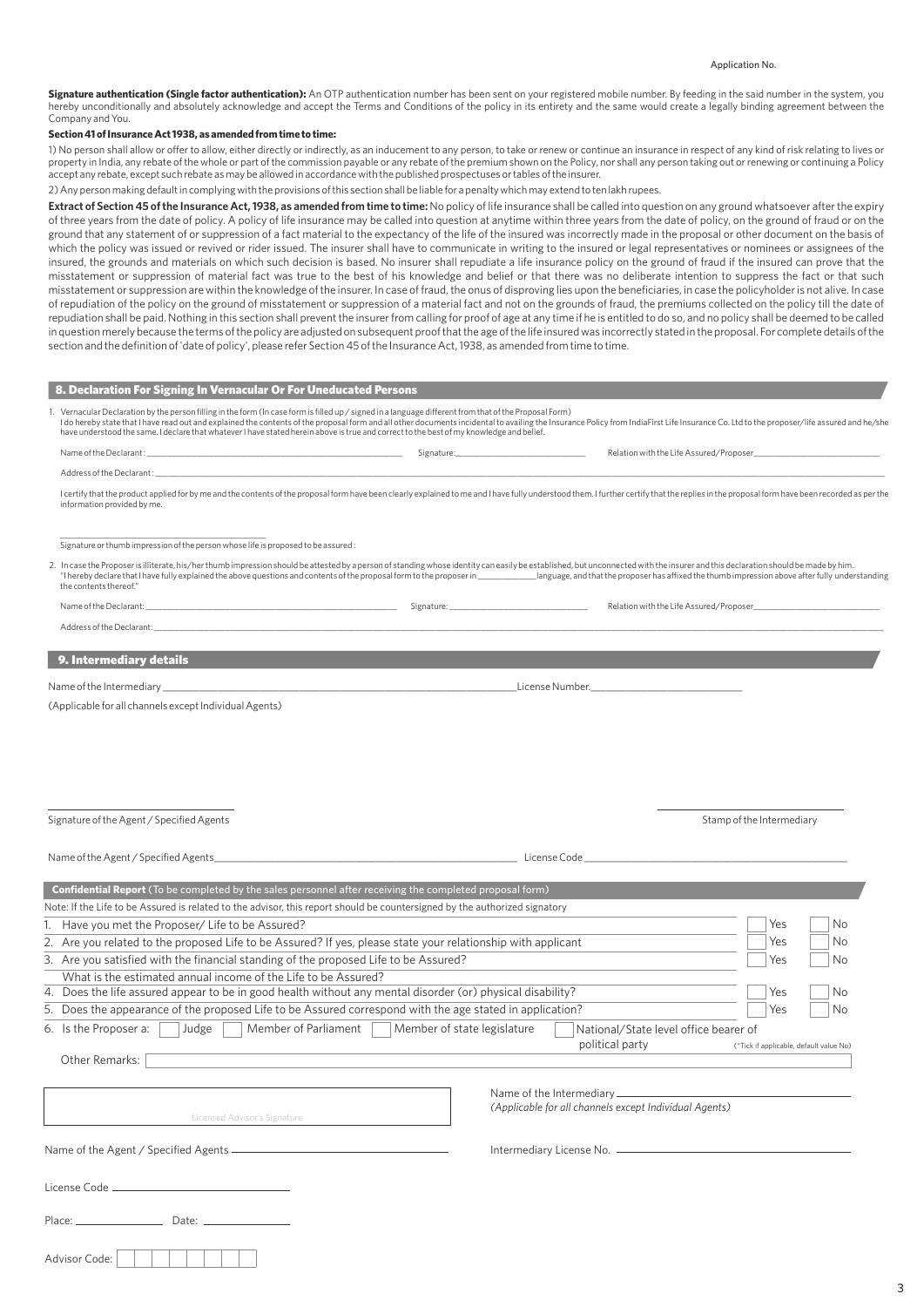## Application No.

Signature authentication (Single factor authentication): An OTP authentication number has been sent on your registered mobile number. By feeding in the said number in the system, you hereby unconditionally and absolutely acknowledge and accept the Terms and Conditions of the policy in its entirety and the same would create a legally binding agreement between the Company and You.

## **Section 41 of Insurance Act 1938, as amended from time to time:**

1) No person shall allow or offer to allow, either directly or indirectly, as an inducement to any person, to take or renew or continue an insurance in respect of any kind of risk relating to lives or property in India, any rebate of the whole or part of the commission payable or any rebate of the premium shown on the Policy, nor shall any person taking out or renewing or continuing a Policy accept any rebate, except such rebate as may be allowed in accordance with the published prospectuses or tables of the insurer.

2) Any person making default in complying with the provisions of this section shall be liable for a penalty which may extend to ten lakh rupees.

Extract of Section 45 of the Insurance Act, 1938, as amended from time to time: No policy of life insurance shall be called into question on any ground whatsoever after the expiry of three years from the date of policy. A policy of life insurance may be called into question at anytime within three years from the date of policy, on the ground of fraud or on the ground that any statement of or suppression of a fact material to the expectancy of the life of the insured was incorrectly made in the proposal or other document on the basis of which the policy was issued or revived or rider issued. The insurer shall have to communicate in writing to the insured or legal representatives or nominees or assignees of the insured, the grounds and materials on which such decision is based. No insurer shall repudiate a life insurance policy on the ground of fraud if the insured can prove that the misstatement or suppression of material fact was true to the best of his knowledge and belief or that there was no deliberate intention to suppress the fact or that such misstatement or suppression are within the knowledge of the insurer. In case of fraud, the onus of disproving lies upon the beneficiaries, in case the policyholder is not alive. In case of repudiation of the policy on the ground of misstatement or suppression of a material fact and not on the grounds of fraud, the premiums collected on the policy till the date of repudiation shall be paid. Nothing in this section shall prevent the insurer from calling for proof of age at any time if he is entitled to do so, and no policy shall be deemed to be called in question merely because the terms of the policy are adjusted on subsequent proof that the age of the life insured was incorrectly stated in the proposal. For complete details of the section and the definition of 'date of policy', please refer Section 45 of the Insurance Act, 1938, as amended from time to time.

| 8. Declaration For Signing In Vernacular Or For Uneducated Persons                                                                                                                                                                                                                                  |                                                                                                                                                                                                                                |
|-----------------------------------------------------------------------------------------------------------------------------------------------------------------------------------------------------------------------------------------------------------------------------------------------------|--------------------------------------------------------------------------------------------------------------------------------------------------------------------------------------------------------------------------------|
| 1. Vernacular Declaration by the person filling in the form (In case form is filled up / signed in a language different from that of the Proposal Form)<br>have understood the same. I declare that whatever I have stated herein above is true and correct to the best of my knowledge and belief. | I do hereby state that I have read out and explained the contents of the proposal form and all other documents incidental to availing the Insurance Policy from IndiaFirst Life Insurance Co. Ltd to the proposer/life assured |
|                                                                                                                                                                                                                                                                                                     |                                                                                                                                                                                                                                |
| Address of the Declarant :                                                                                                                                                                                                                                                                          |                                                                                                                                                                                                                                |
| information provided by me.                                                                                                                                                                                                                                                                         | I certify that the product applied for by me and the contents of the proposal form have been clearly explained to me and I have fully understood them. I further certify that the replies in the proposal form have been recor |

\_\_\_\_\_\_\_\_\_\_\_\_\_\_\_\_\_\_\_\_\_\_\_\_\_\_\_\_\_\_\_\_\_\_\_\_\_\_\_\_\_\_\_\_\_\_\_\_\_ Signature or thumb impression of the person whose life is proposed to be assured :

| 2. In case the Proposer is illiterate, his/her thumb impression should be attested by a person of standing whose identity can easily be established, but unconnected with the insurer and this declaration should be made by h |                                                                                                  |
|--------------------------------------------------------------------------------------------------------------------------------------------------------------------------------------------------------------------------------|--------------------------------------------------------------------------------------------------|
| "I hereby declare that I have fully explained the above questions and contents of the proposal form to the proposer in                                                                                                         | language, and that the proposer has affixed the thumb impression above after fully understanding |
| the contents thereof."                                                                                                                                                                                                         |                                                                                                  |

| Name of the Declarant:    | Signature: | Relation with the Life Assured/Proposer |
|---------------------------|------------|-----------------------------------------|
| Address of the Declarant: |            |                                         |
|                           |            |                                         |
| 9. Intermediary details   |            |                                         |

Name of the Intermediary **and the Intermediary** and the Internal state of the Intermediary **and the Internal state Number.** 

(Applicable for all channels except Individual Agents)

| Name of the Agent / Specified Agents                                                                                       | License Code                                                                                                                       |
|----------------------------------------------------------------------------------------------------------------------------|------------------------------------------------------------------------------------------------------------------------------------|
| <b>Confidential Report</b> (To be completed by the sales personnel after receiving the completed proposal form)            |                                                                                                                                    |
| Note: If the Life to be Assured is related to the advisor, this report should be countersigned by the authorized signatory |                                                                                                                                    |
| 1. Have you met the Proposer/ Life to be Assured?                                                                          | Yes<br>No                                                                                                                          |
| 2. Are you related to the proposed Life to be Assured? If yes, please state your relationship with applicant               | Yes<br>No                                                                                                                          |
| 3. Are you satisfied with the financial standing of the proposed Life to be Assured?                                       | No<br>Yes                                                                                                                          |
| What is the estimated annual income of the Life to be Assured?                                                             |                                                                                                                                    |
| 4. Does the life assured appear to be in good health without any mental disorder (or) physical disability?                 | <b>No</b><br>Yes                                                                                                                   |
| 5. Does the appearance of the proposed Life to be Assured correspond with the age stated in application?                   | Yes<br>No                                                                                                                          |
| Judge<br>Member of Parliament<br>6. Is the Proposer a:                                                                     | Member of state legislature<br>National/State level office bearer of<br>political party<br>(*Tick if applicable, default value No) |
| Other Remarks:                                                                                                             |                                                                                                                                    |
| Licensed Advisor's Signature                                                                                               | (Applicable for all channels except Individual Agents)                                                                             |
|                                                                                                                            |                                                                                                                                    |
| License Code <u>__________________________</u> ____                                                                        |                                                                                                                                    |
| Place: Date: Date:                                                                                                         |                                                                                                                                    |
| Advisor Code:                                                                                                              |                                                                                                                                    |

Signature of the Agent / Specified Agents Stamp of the Intermediary stamp of the Intermediary Stamp of the Intermediary